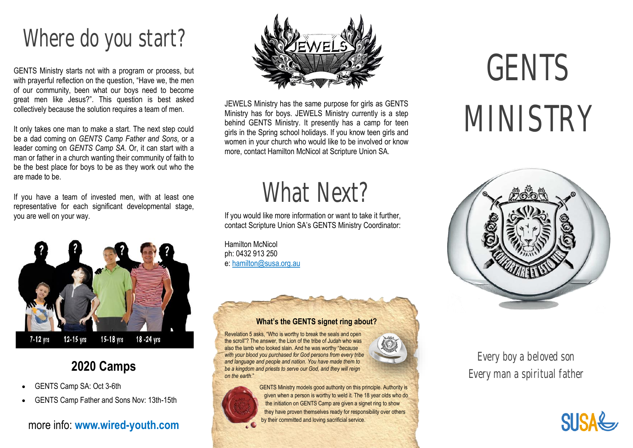## Where do you start?

GENTS Ministry starts not with a program or process, but with prayerful reflection on the question, "Have we, the men of our community, been what our boys need to become great men like Jesus?". This question is best asked collectively because the solution requires a team of men.

It only takes one man to make a start. The next step could be a dad coming on *GENTS Camp Father and Sons*, or a leader coming on *GENTS Camp SA*. Or, it can start with a man or father in a church wanting their community of faith to be the best place for boys to be as they work out who the are made to be.

If you have a team of invested men, with at least one representative for each significant developmental stage, you are well on your way.



## **2020 Camps**

- GENTS Camp SA: Oct 3-6th
- GENTS Camp Father and Sons Nov: 13th-15th

### more info: **www.wired-youth.com**



JEWELS Ministry has the same purpose for girls as GENTS Ministry has for boys. JEWELS Ministry currently is a step behind GENTS Ministry. It presently has a camp for teen girls in the Spring school holidays. If you know teen girls and women in your church who would like to be involved or know more, contact Hamilton McNicol at Scripture Union SA.

## What Next?

If you would like more information or want to take it further, contact Scripture Union SA's GENTS Ministry Coordinator:

Hamilton McNicol ph: 0432 913 250 e: hamilton@susa.org.au

### **What's the GENTS signet ring about?**

Revelation 5 asks, "Who is worthy to break the seals and open the scroll"? The answer, the Lion of the tribe of Judah who was also the lamb who looked slain. And he was worthy "*because with your blood you purchased for God persons from every tribe and language and people and nation. You have made them to be a kingdom and priests to serve our God, and they will reign on the earth*."





GENTS Ministry models good authority on this principle. Authority is given when a person is worthy to weld it. The 18 year olds who do the initiation on GENTS Camp are given a signet ring to show they have proven themselves ready for responsibility over others by their committed and loving sacrificial service.

# GENTS MINISTRY



## Every boy a beloved son Every man a spiritual father